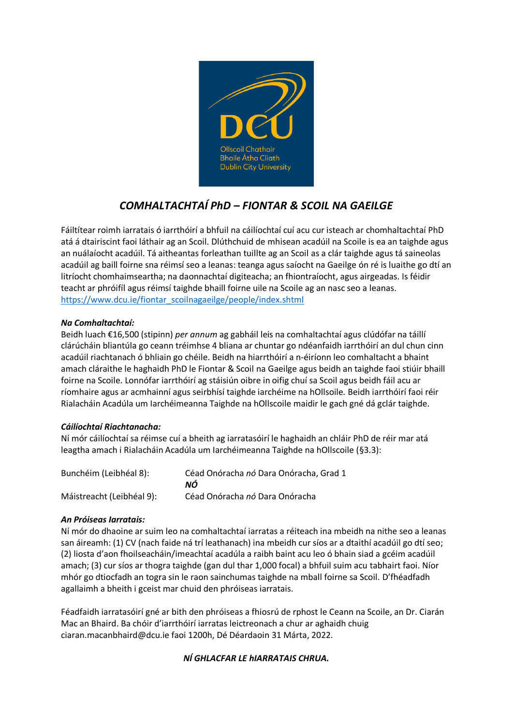

# *COMHALTACHTAÍ PhD – FIONTAR & SCOIL NA GAEILGE*

Fáiltítear roimh iarratais ó iarrthóirí a bhfuil na cáilíochtaí cuí acu cur isteach ar chomhaltachtaí PhD atá á dtairiscint faoi láthair ag an Scoil. Dlúthchuid de mhisean acadúil na Scoile is ea an taighde agus an nuálaíocht acadúil. Tá aitheantas forleathan tuillte ag an Scoil as a clár taighde agus tá saineolas acadúil ag baill foirne sna réimsí seo a leanas: teanga agus saíocht na Gaeilge ón ré is luaithe go dtí an litríocht chomhaimseartha; na daonnachtaí digiteacha; an fhiontraíocht, agus airgeadas. Is féidir teacht ar phróifíl agus réimsí taighde bhaill foirne uile na Scoile ag an nasc seo a leanas. [https://www.dcu.ie/fiontar\\_scoilnagaeilge/people/index.shtml](https://www.dcu.ie/fiontar_scoilnagaeilge/people/index.shtml)

## *Na Comhaltachtaí:*

Beidh luach €16,500 (stipinn) *per annum* ag gabháil leis na comhaltachtaí agus clúdófar na táillí clárúcháin bliantúla go ceann tréimhse 4 bliana ar chuntar go ndéanfaidh iarrthóirí an dul chun cinn acadúil riachtanach ó bhliain go chéile. Beidh na hiarrthóirí a n-éiríonn leo comhaltacht a bhaint amach cláraithe le haghaidh PhD le Fiontar & Scoil na Gaeilge agus beidh an taighde faoi stiúir bhaill foirne na Scoile. Lonnófar iarrthóirí ag stáisiún oibre in oifig chuí sa Scoil agus beidh fáil acu ar ríomhaire agus ar acmhainní agus seirbhísí taighde iarchéime na hOllsoile. Beidh iarrthóirí faoi réir Rialacháin Acadúla um Iarchéimeanna Taighde na hOllscoile maidir le gach gné dá gclár taighde.

### *Cáilíochtaí Riachtanacha:*

Ní mór cáilíochtaí sa réimse cuí a bheith ag iarratasóirí le haghaidh an chláir PhD de réir mar atá leagtha amach i Rialacháin Acadúla um Iarchéimeanna Taighde na hOllscoile (§3.3):

| Bunchéim (Leibhéal 8):    | Céad Onóracha nó Dara Onóracha, Grad 1<br>ΝÓ |
|---------------------------|----------------------------------------------|
| Máistreacht (Leibhéal 9): | Céad Onóracha nó Dara Onóracha               |

### *An Próiseas Iarratais:*

Ní mór do dhaoine ar suim leo na comhaltachtaí iarratas a réiteach ina mbeidh na nithe seo a leanas san áireamh: (1) CV (nach faide ná trí leathanach) ina mbeidh cur síos ar a dtaithí acadúil go dtí seo; (2) liosta d'aon fhoilseacháin/imeachtaí acadúla a raibh baint acu leo ó bhain siad a gcéim acadúil amach; (3) cur síos ar thogra taighde (gan dul thar 1,000 focal) a bhfuil suim acu tabhairt faoi. Níor mhór go dtiocfadh an togra sin le raon sainchumas taighde na mball foirne sa Scoil. D'fhéadfadh agallaimh a bheith i gceist mar chuid den phróiseas iarratais.

Féadfaidh iarratasóirí gné ar bith den phróiseas a fhiosrú de rphost le Ceann na Scoile, an Dr. Ciarán Mac an Bhaird. Ba chóir d'iarrthóirí iarratas leictreonach a chur ar aghaidh chuig ciaran.macanbhaird@dcu.ie faoi 1200h, Dé Déardaoin 31 Márta, 2022.

# *NÍ GHLACFAR LE hIARRATAIS CHRUA.*